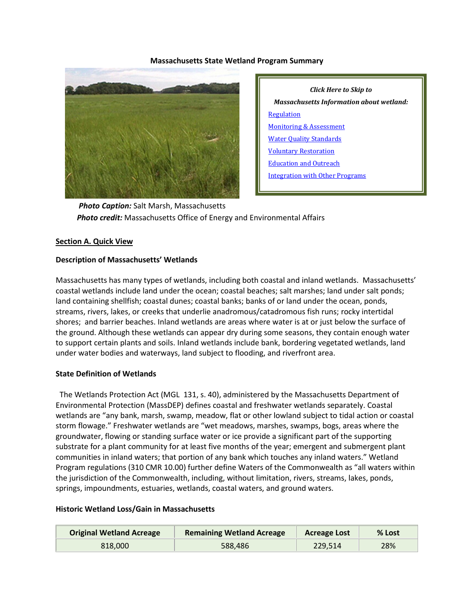#### **Massachusetts State Wetland Program Summary**



*Click Here to Skip to Massachusetts Information about wetland:* **[Regulation](#page-3-0)** [Monitoring & Assessment](#page-7-0) [Water Quality Standards](#page-10-0) [Voluntary Restoration](#page-11-0) [Education and Outreach](#page-13-0) [Integration with Other Programs](#page-14-0)

 *Photo Caption:* Salt Marsh, Massachusetts  *Photo credit:* Massachusetts Office of Energy and Environmental Affairs

#### **Section A. Quick View**

#### **Description of Massachusetts' Wetlands**

Massachusetts has many types of wetlands, including both coastal and inland wetlands. Massachusetts' coastal wetlands include land under the ocean; coastal beaches; salt marshes; land under salt ponds; land containing shellfish; coastal dunes; coastal banks; banks of or land under the ocean, ponds, streams, rivers, lakes, or creeks that underlie anadromous/catadromous fish runs; rocky intertidal shores; and barrier beaches. Inland wetlands are areas where water is at or just below the surface of the ground. Although these wetlands can appear dry during some seasons, they contain enough water to support certain plants and soils. Inland wetlands include bank, bordering vegetated wetlands, land under water bodies and waterways, land subject to flooding, and riverfront area.

#### **State Definition of Wetlands**

 The Wetlands Protection Act (MGL 131, s. 40), administered by the Massachusetts Department of Environmental Protection (MassDEP) defines coastal and freshwater wetlands separately. Coastal wetlands are "any bank, marsh, swamp, meadow, flat or other lowland subject to tidal action or coastal storm flowage." Freshwater wetlands are "wet meadows, marshes, swamps, bogs, areas where the groundwater, flowing or standing surface water or ice provide a significant part of the supporting substrate for a plant community for at least five months of the year; emergent and submergent plant communities in inland waters; that portion of any bank which touches any inland waters." Wetland Program regulations (310 CMR 10.00) further define Waters of the Commonwealth as "all waters within the jurisdiction of the Commonwealth, including, without limitation, rivers, streams, lakes, ponds, springs, impoundments, estuaries, wetlands, coastal waters, and ground waters.

#### **Historic Wetland Loss/Gain in Massachusetts**

| <b>Original Wetland Acreage</b> | <b>Remaining Wetland Acreage</b> | <b>Acreage Lost</b> | % Lost |
|---------------------------------|----------------------------------|---------------------|--------|
| 818,000                         | 588,486                          | 229.514             | 28%    |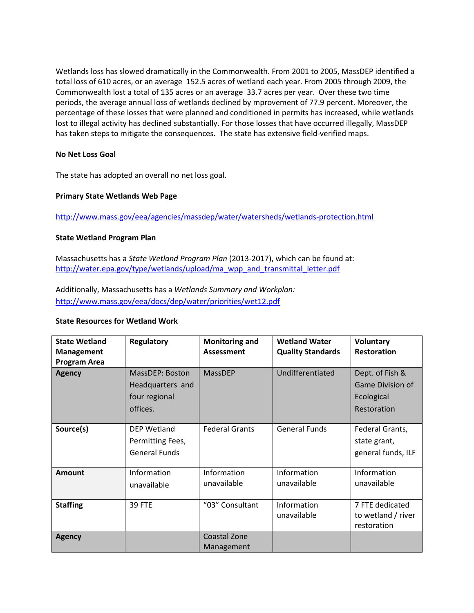Wetlands loss has slowed dramatically in the Commonwealth. From 2001 to 2005, MassDEP identified a total loss of 610 acres, or an average 152.5 acres of wetland each year. From 2005 through 2009, the Commonwealth lost a total of 135 acres or an average 33.7 acres per year. Over these two time periods, the average annual loss of wetlands declined by mprovement of 77.9 percent. Moreover, the percentage of these losses that were planned and conditioned in permits has increased, while wetlands lost to illegal activity has declined substantially. For those losses that have occurred illegally, MassDEP has taken steps to mitigate the consequences. The state has extensive field-verified maps.

### **No Net Loss Goal**

The state has adopted an overall no net loss goal.

#### **Primary State Wetlands Web Page**

<http://www.mass.gov/eea/agencies/massdep/water/watersheds/wetlands-protection.html>

#### **State Wetland Program Plan**

Massachusetts has a *State Wetland Program Plan* (2013-2017), which can be found at: [http://water.epa.gov/type/wetlands/upload/ma\\_wpp\\_and\\_transmittal\\_letter.pdf](http://water.epa.gov/type/wetlands/upload/ma_wpp_and_transmittal_letter.pdf)

Additionally, Massachusetts has a *Wetlands Summary and Workplan:*  <http://www.mass.gov/eea/docs/dep/water/priorities/wet12.pdf>

#### **State Resources for Wetland Work**

| <b>State Wetland</b><br><b>Management</b><br><b>Program Area</b> | <b>Regulatory</b>                                                | <b>Monitoring and</b><br><b>Assessment</b> | <b>Wetland Water</b><br><b>Quality Standards</b> | <b>Voluntary</b><br><b>Restoration</b>                                  |
|------------------------------------------------------------------|------------------------------------------------------------------|--------------------------------------------|--------------------------------------------------|-------------------------------------------------------------------------|
| <b>Agency</b>                                                    | MassDEP: Boston<br>Headquarters and<br>four regional<br>offices. | MassDEP                                    | Undifferentiated                                 | Dept. of Fish &<br><b>Game Division of</b><br>Ecological<br>Restoration |
| Source(s)                                                        | DEP Wetland<br>Permitting Fees,<br><b>General Funds</b>          | <b>Federal Grants</b>                      | <b>General Funds</b>                             | Federal Grants,<br>state grant,<br>general funds, ILF                   |
| <b>Amount</b>                                                    | Information<br>unavailable                                       | Information<br>unavailable                 | Information<br>unavailable                       | Information<br>unavailable                                              |
| <b>Staffing</b>                                                  | <b>39 FTE</b>                                                    | "03" Consultant                            | Information<br>unavailable                       | 7 FTE dedicated<br>to wetland / river<br>restoration                    |
| <b>Agency</b>                                                    |                                                                  | <b>Coastal Zone</b><br>Management          |                                                  |                                                                         |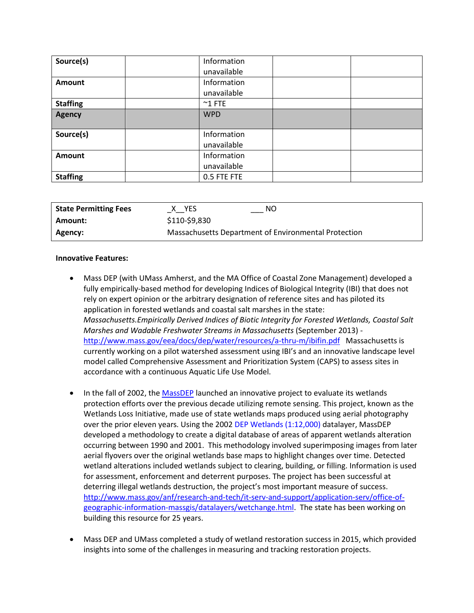| Source(s)       | Information<br>unavailable |  |
|-----------------|----------------------------|--|
| Amount          | Information<br>unavailable |  |
| <b>Staffing</b> | $^{\sim}$ 1 FTE            |  |
| <b>Agency</b>   | <b>WPD</b>                 |  |
| Source(s)       | Information<br>unavailable |  |
| Amount          | Information<br>unavailable |  |
| <b>Staffing</b> | 0.5 FTE FTE                |  |

| <b>State Permitting Fees</b> | NΟ<br>X YES                                          |
|------------------------------|------------------------------------------------------|
| Amount:                      | \$110-\$9,830                                        |
| Agency:                      | Massachusetts Department of Environmental Protection |

#### **Innovative Features:**

- Mass DEP (with UMass Amherst, and the MA Office of Coastal Zone Management) developed a fully empirically-based method for developing Indices of Biological Integrity (IBI) that does not rely on expert opinion or the arbitrary designation of reference sites and has piloted its application in forested wetlands and coastal salt marshes in the state: *Massachusetts.Empirically Derived Indices of Biotic Integrity for Forested Wetlands, Coastal Salt Marshes and Wadable Freshwater Streams in Massachusetts* (September 2013) <http://www.mass.gov/eea/docs/dep/water/resources/a-thru-m/ibifin.pdf>Massachusetts is currently working on a pilot watershed assessment using IBI's and an innovative landscape level model called Comprehensive Assessment and Prioritization System (CAPS) to assess sites in accordance with a continuous Aquatic Life Use Model.
- In the fall of 2002, the [MassDEP](http://www.mass.gov/dep/water/resources/protwet.htm) launched an innovative project to evaluate its wetlands protection efforts over the previous decade utilizing remote sensing. This project, known as the Wetlands Loss Initiative, made use of state wetlands maps produced using aerial photography over the prior eleven years. Using the 2002 [DEP Wetlands \(1:12,000\)](http://www.mass.gov/anf/research-and-tech/it-serv-and-support/application-serv/office-of-geographic-information-massgis/datalayers/depwetlands112000.html) datalayer, MassDEP developed a methodology to create a digital database of areas of apparent wetlands alteration occurring between 1990 and 2001. This methodology involved superimposing images from later aerial flyovers over the original wetlands base maps to highlight changes over time. Detected wetland alterations included wetlands subject to clearing, building, or filling. Information is used for assessment, enforcement and deterrent purposes. The project has been successful at deterring illegal wetlands destruction, the project's most important measure of success. [http://www.mass.gov/anf/research-and-tech/it-serv-and-support/application-serv/office-of](http://www.mass.gov/anf/research-and-tech/it-serv-and-support/application-serv/office-of-geographic-information-massgis/datalayers/wetchange.html)[geographic-information-massgis/datalayers/wetchange.html.](http://www.mass.gov/anf/research-and-tech/it-serv-and-support/application-serv/office-of-geographic-information-massgis/datalayers/wetchange.html) The state has been working on building this resource for 25 years.
- Mass DEP and UMass completed a study of wetland restoration success in 2015, which provided insights into some of the challenges in measuring and tracking restoration projects.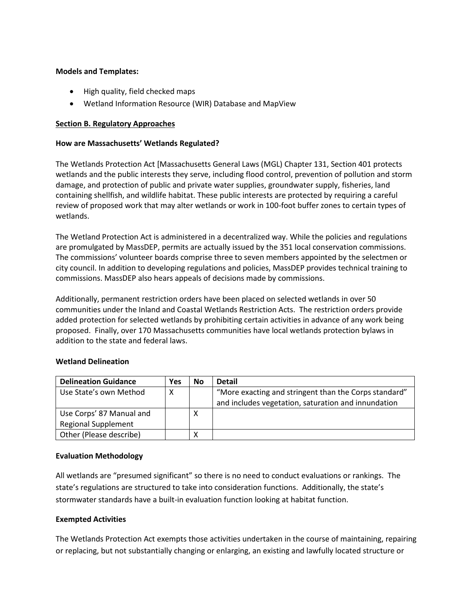### **Models and Templates:**

- High quality, field checked maps
- Wetland Information Resource (WIR) Database and MapView

## <span id="page-3-0"></span>**Section B. Regulatory Approaches**

### **How are Massachusetts' Wetlands Regulated?**

The Wetlands Protection Act [Massachusetts General Laws (MGL) Chapter 131, Section 401 protects wetlands and the public interests they serve, including flood control, prevention of pollution and storm damage, and protection of public and private water supplies, groundwater supply, fisheries, land containing shellfish, and wildlife habitat. These public interests are protected by requiring a careful review of proposed work that may alter wetlands or work in 100-foot buffer zones to certain types of wetlands.

The Wetland Protection Act is administered in a decentralized way. While the policies and regulations are promulgated by MassDEP, permits are actually issued by the 351 local conservation commissions. The commissions' volunteer boards comprise three to seven members appointed by the selectmen or city council. In addition to developing regulations and policies, MassDEP provides technical training to commissions. MassDEP also hears appeals of decisions made by commissions.

Additionally, permanent restriction orders have been placed on selected wetlands in over 50 communities under the Inland and Coastal Wetlands Restriction Acts. The restriction orders provide added protection for selected wetlands by prohibiting certain activities in advance of any work being proposed. Finally, over 170 Massachusetts communities have local wetlands protection bylaws in addition to the state and federal laws.

### **Wetland Delineation**

| <b>Delineation Guidance</b> | <b>Yes</b> | <b>No</b> | <b>Detail</b>                                         |
|-----------------------------|------------|-----------|-------------------------------------------------------|
| Use State's own Method      | Х          |           | "More exacting and stringent than the Corps standard" |
|                             |            |           | and includes vegetation, saturation and innundation   |
| Use Corps' 87 Manual and    |            | Χ         |                                                       |
| <b>Regional Supplement</b>  |            |           |                                                       |
| Other (Please describe)     |            | х         |                                                       |

### **Evaluation Methodology**

All wetlands are "presumed significant" so there is no need to conduct evaluations or rankings. The state's regulations are structured to take into consideration functions. Additionally, the state's stormwater standards have a built-in evaluation function looking at habitat function.

### **Exempted Activities**

The Wetlands Protection Act exempts those activities undertaken in the course of maintaining, repairing or replacing, but not substantially changing or enlarging, an existing and lawfully located structure or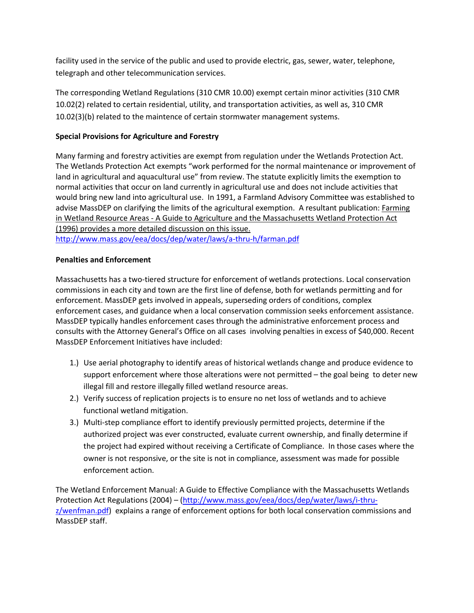facility used in the service of the public and used to provide electric, gas, sewer, water, telephone, telegraph and other telecommunication services.

The corresponding Wetland Regulations (310 CMR 10.00) exempt certain minor activities (310 CMR 10.02(2) related to certain residential, utility, and transportation activities, as well as, 310 CMR 10.02(3)(b) related to the maintence of certain stormwater management systems.

# **Special Provisions for Agriculture and Forestry**

Many farming and forestry activities are exempt from regulation under the Wetlands Protection Act. The Wetlands Protection Act exempts "work performed for the normal maintenance or improvement of land in agricultural and aquacultural use" from review. The statute explicitly limits the exemption to normal activities that occur on land currently in agricultural use and does not include activities that would bring new land into agricultural use. In 1991, a Farmland Advisory Committee was established to advise MassDEP on clarifying the limits of the agricultural exemption. A resultant publication: Farming in Wetland Resource Areas - A Guide to Agriculture and the Massachusetts Wetland Protection Act (1996) provides a more detailed discussion on this issue. <http://www.mass.gov/eea/docs/dep/water/laws/a-thru-h/farman.pdf>

# **Penalties and Enforcement**

Massachusetts has a two-tiered structure for enforcement of wetlands protections. Local conservation commissions in each city and town are the first line of defense, both for wetlands permitting and for enforcement. MassDEP gets involved in appeals, superseding orders of conditions, complex enforcement cases, and guidance when a local conservation commission seeks enforcement assistance. MassDEP typically handles enforcement cases through the administrative enforcement process and consults with the Attorney General's Office on all cases involving penalties in excess of \$40,000. Recent MassDEP Enforcement Initiatives have included:

- 1.) Use aerial photography to identify areas of historical wetlands change and produce evidence to support enforcement where those alterations were not permitted – the goal being to deter new illegal fill and restore illegally filled wetland resource areas.
- 2.) Verify success of replication projects is to ensure no net loss of wetlands and to achieve functional wetland mitigation.
- 3.) Multi-step compliance effort to identify previously permitted projects, determine if the authorized project was ever constructed, evaluate current ownership, and finally determine if the project had expired without receiving a Certificate of Compliance. In those cases where the owner is not responsive, or the site is not in compliance, assessment was made for possible enforcement action.

The Wetland Enforcement Manual: A Guide to Effective Compliance with the Massachusetts Wetlands Protection Act Regulations (2004) – [\(http://www.mass.gov/eea/docs/dep/water/laws/i-thru](http://www.mass.gov/eea/docs/dep/water/laws/i-thru-z/wenfman.pdf)[z/wenfman.pdf\)](http://www.mass.gov/eea/docs/dep/water/laws/i-thru-z/wenfman.pdf) explains a range of enforcement options for both local conservation commissions and MassDEP staff.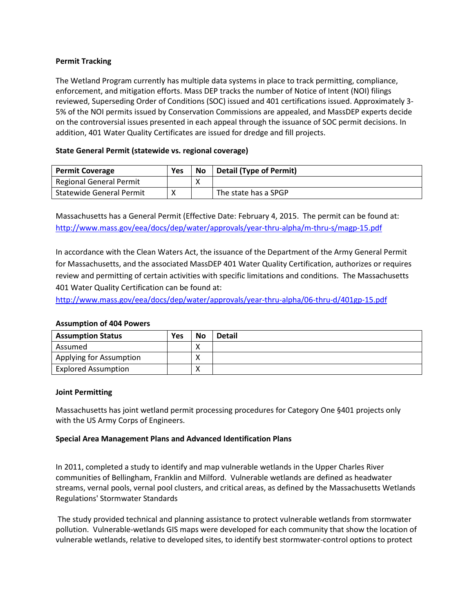## **Permit Tracking**

The Wetland Program currently has multiple data systems in place to track permitting, compliance, enforcement, and mitigation efforts. Mass DEP tracks the number of Notice of Intent (NOI) filings reviewed, Superseding Order of Conditions (SOC) issued and 401 certifications issued. Approximately 3- 5% of the NOI permits issued by Conservation Commissions are appealed, and MassDEP experts decide on the controversial issues presented in each appeal through the issuance of SOC permit decisions. In addition, 401 Water Quality Certificates are issued for dredge and fill projects.

# **State General Permit (statewide vs. regional coverage)**

| <b>Permit Coverage</b>          | Yes | <b>No</b> | <b>Detail (Type of Permit)</b> |
|---------------------------------|-----|-----------|--------------------------------|
| Regional General Permit         |     |           |                                |
| <b>Statewide General Permit</b> |     |           | The state has a SPGP           |

Massachusetts has a General Permit (Effective Date: February 4, 2015. The permit can be found at: <http://www.mass.gov/eea/docs/dep/water/approvals/year-thru-alpha/m-thru-s/magp-15.pdf>

In accordance with the Clean Waters Act, the issuance of the Department of the Army General Permit for Massachusetts, and the associated MassDEP 401 Water Quality Certification, authorizes or requires review and permitting of certain activities with specific limitations and conditions. The Massachusetts 401 Water Quality Certification can be found at:

<http://www.mass.gov/eea/docs/dep/water/approvals/year-thru-alpha/06-thru-d/401gp-15.pdf>

### **Assumption of 404 Powers**

| <b>Assumption Status</b>   | Yes | No | <b>Detail</b> |
|----------------------------|-----|----|---------------|
| Assumed                    |     |    |               |
| Applying for Assumption    |     |    |               |
| <b>Explored Assumption</b> |     |    |               |

### **Joint Permitting**

Massachusetts has joint wetland permit processing procedures for Category One §401 projects only with the US Army Corps of Engineers.

### **Special Area Management Plans and Advanced Identification Plans**

In 2011, completed a study to identify and map vulnerable wetlands in the Upper Charles River communities of Bellingham, Franklin and Milford. Vulnerable wetlands are defined as headwater streams, vernal pools, vernal pool clusters, and critical areas, as defined by the Massachusetts Wetlands Regulations' Stormwater Standards

The study provided technical and planning assistance to protect vulnerable wetlands from stormwater pollution. Vulnerable-wetlands GIS maps were developed for each community that show the location of vulnerable wetlands, relative to developed sites, to identify best stormwater-control options to protect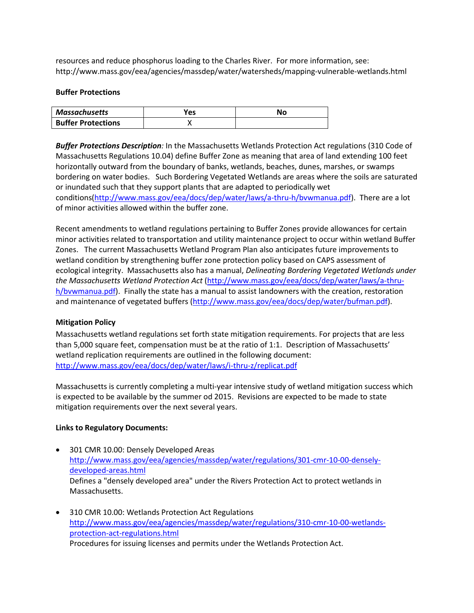resources and reduce phosphorus loading to the Charles River. For more information, see: http://www.mass.gov/eea/agencies/massdep/water/watersheds/mapping-vulnerable-wetlands.html

#### **Buffer Protections**

| Massachusetts             | Yes | Nσ |
|---------------------------|-----|----|
| <b>Buffer Protections</b> |     |    |

*Buffer Protections Description:* In the Massachusetts Wetlands Protection Act regulations (310 Code of Massachusetts Regulations 10.04) define Buffer Zone as meaning that area of land extending 100 feet horizontally outward from the boundary of banks, wetlands, beaches, dunes, marshes, or swamps bordering on water bodies. Such Bordering Vegetated Wetlands are areas where the soils are saturated or inundated such that they support plants that are adapted to periodically wet conditions[\(http://www.mass.gov/eea/docs/dep/water/laws/a-thru-h/bvwmanua.pdf\)](http://www.mass.gov/eea/docs/dep/water/laws/a-thru-h/bvwmanua.pdf). There are a lot of minor activities allowed within the buffer zone.

Recent amendments to wetland regulations pertaining to Buffer Zones provide allowances for certain minor activities related to transportation and utility maintenance project to occur within wetland Buffer Zones. The current Massachusetts Wetland Program Plan also anticipates future improvements to wetland condition by strengthening buffer zone protection policy based on CAPS assessment of ecological integrity. Massachusetts also has a manual, *Delineating Bordering Vegetated Wetlands under the Massachusetts Wetland Protection Act* [\(http://www.mass.gov/eea/docs/dep/water/laws/a-thru](http://www.mass.gov/eea/docs/dep/water/laws/a-thru-h/bvwmanua.pdf)[h/bvwmanua.pdf\)](http://www.mass.gov/eea/docs/dep/water/laws/a-thru-h/bvwmanua.pdf). Finally the state has a manual to assist landowners with the creation, restoration and maintenance of vegetated buffers [\(http://www.mass.gov/eea/docs/dep/water/bufman.pdf\)](http://www.mass.gov/eea/docs/dep/water/bufman.pdf).

### **Mitigation Policy**

Massachusetts wetland regulations set forth state mitigation requirements. For projects that are less than 5,000 square feet, compensation must be at the ratio of 1:1. Description of Massachusetts' wetland replication requirements are outlined in the following document: <http://www.mass.gov/eea/docs/dep/water/laws/i-thru-z/replicat.pdf>

Massachusetts is currently completing a multi-year intensive study of wetland mitigation success which is expected to be available by the summer od 2015. Revisions are expected to be made to state mitigation requirements over the next several years.

### **Links to Regulatory Documents:**

- [301 CMR 10.00: Densely Developed Areas](http://www.mass.gov/eea/agencies/massdep/water/regulations/301-cmr-10-00-densely-developed-areas.html) [http://www.mass.gov/eea/agencies/massdep/water/regulations/301-cmr-10-00-densely](http://www.mass.gov/eea/agencies/massdep/water/regulations/301-cmr-10-00-densely-developed-areas.html)[developed-areas.html](http://www.mass.gov/eea/agencies/massdep/water/regulations/301-cmr-10-00-densely-developed-areas.html) Defines a "densely developed area" under the Rivers Protection Act to protect wetlands in Massachusetts.
- [310 CMR 10.00: Wetlands Protection Act Regulations](http://www.mass.gov/eea/agencies/massdep/water/regulations/310-cmr-10-00-wetlands-protection-act-regulations.html) [http://www.mass.gov/eea/agencies/massdep/water/regulations/310-cmr-10-00-wetlands](http://www.mass.gov/eea/agencies/massdep/water/regulations/310-cmr-10-00-wetlands-protection-act-regulations.html)[protection-act-regulations.html](http://www.mass.gov/eea/agencies/massdep/water/regulations/310-cmr-10-00-wetlands-protection-act-regulations.html) Procedures for issuing licenses and permits under the Wetlands Protection Act.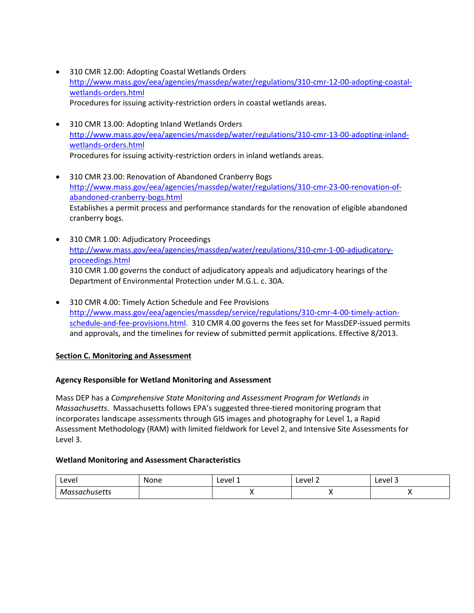- [310 CMR 12.00: Adopting Coastal Wetlands Orders](http://www.mass.gov/eea/agencies/massdep/water/regulations/310-cmr-12-00-adopting-coastal-wetlands-orders.html) [http://www.mass.gov/eea/agencies/massdep/water/regulations/310-cmr-12-00-adopting-coastal](http://www.mass.gov/eea/agencies/massdep/water/regulations/310-cmr-12-00-adopting-coastal-wetlands-orders.html)[wetlands-orders.html](http://www.mass.gov/eea/agencies/massdep/water/regulations/310-cmr-12-00-adopting-coastal-wetlands-orders.html) Procedures for issuing activity-restriction orders in coastal wetlands areas.
- [310 CMR 13.00: Adopting Inland Wetlands Orders](http://www.mass.gov/eea/agencies/massdep/water/regulations/310-cmr-13-00-adopting-inland-wetlands-orders.html) [http://www.mass.gov/eea/agencies/massdep/water/regulations/310-cmr-13-00-adopting-inland](http://www.mass.gov/eea/agencies/massdep/water/regulations/310-cmr-13-00-adopting-inland-wetlands-orders.html)[wetlands-orders.html](http://www.mass.gov/eea/agencies/massdep/water/regulations/310-cmr-13-00-adopting-inland-wetlands-orders.html) Procedures for issuing activity-restriction orders in inland wetlands areas.
- [310 CMR 23.00: Renovation of Abandoned Cranberry Bogs](http://www.mass.gov/eea/agencies/massdep/water/regulations/310-cmr-23-00-renovation-of-abandoned-cranberry-bogs.html) [http://www.mass.gov/eea/agencies/massdep/water/regulations/310-cmr-23-00-renovation-of](http://www.mass.gov/eea/agencies/massdep/water/regulations/310-cmr-23-00-renovation-of-abandoned-cranberry-bogs.html)[abandoned-cranberry-bogs.html](http://www.mass.gov/eea/agencies/massdep/water/regulations/310-cmr-23-00-renovation-of-abandoned-cranberry-bogs.html) Establishes a permit process and performance standards for the renovation of eligible abandoned cranberry bogs.
- [310 CMR 1.00: Adjudicatory Proceedings](http://www.mass.gov/eea/agencies/massdep/water/regulations/310-cmr-1-00-adjudicatory-proceedings.html) [http://www.mass.gov/eea/agencies/massdep/water/regulations/310-cmr-1-00-adjudicatory](http://www.mass.gov/eea/agencies/massdep/water/regulations/310-cmr-1-00-adjudicatory-proceedings.html)[proceedings.html](http://www.mass.gov/eea/agencies/massdep/water/regulations/310-cmr-1-00-adjudicatory-proceedings.html) 310 CMR 1.00 governs the conduct of adjudicatory appeals and adjudicatory hearings of the Department of Environmental Protection under M.G.L. c. 30A.
- [310 CMR 4.00: Timely Action Schedule and Fee Provisions](http://www.mass.gov/eea/agencies/massdep/service/regulations/310-cmr-4-00-timely-action-schedule-and-fee-provisions.html) [http://www.mass.gov/eea/agencies/massdep/service/regulations/310-cmr-4-00-timely-action](http://www.mass.gov/eea/agencies/massdep/service/regulations/310-cmr-4-00-timely-action-schedule-and-fee-provisions.html)[schedule-and-fee-provisions.html.](http://www.mass.gov/eea/agencies/massdep/service/regulations/310-cmr-4-00-timely-action-schedule-and-fee-provisions.html) 310 CMR 4.00 governs the fees set for MassDEP-issued permits and approvals, and the timelines for review of submitted permit applications. Effective 8/2013.

# <span id="page-7-0"></span>**Section C. Monitoring and Assessment**

### **Agency Responsible for Wetland Monitoring and Assessment**

Mass DEP has a *Comprehensive State Monitoring and Assessment Program for Wetlands in Massachusetts*. Massachusetts follows EPA's suggested three-tiered monitoring program that incorporates landscape assessments through GIS images and photography for Level 1, a Rapid Assessment Methodology (RAM) with limited fieldwork for Level 2, and Intensive Site Assessments for Level 3.

### **Wetland Monitoring and Assessment Characteristics**

| Level               | None | Level 1 | <b>AVA</b><br>בו ב<br>$- - -$ | -<br>Level 3 |
|---------------------|------|---------|-------------------------------|--------------|
| ıssachusetts<br>.vr |      |         | $\cdot$                       | . .          |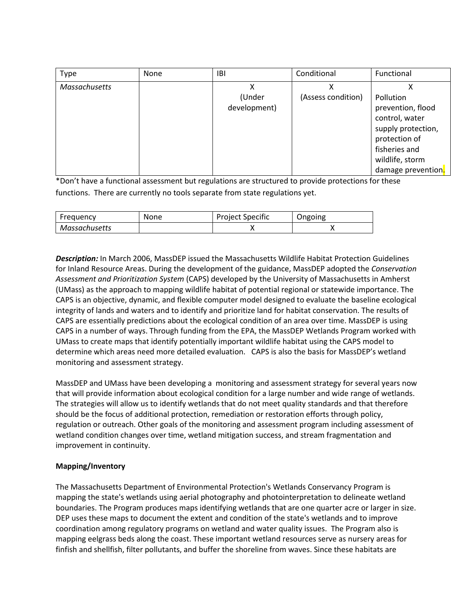| <b>Type</b>   | None | <b>IBI</b>   | Conditional        | Functional         |
|---------------|------|--------------|--------------------|--------------------|
| Massachusetts |      |              | χ                  |                    |
|               |      | (Under       | (Assess condition) | Pollution          |
|               |      | development) |                    | prevention, flood  |
|               |      |              |                    | control, water     |
|               |      |              |                    | supply protection, |
|               |      |              |                    | protection of      |
|               |      |              |                    | fisheries and      |
|               |      |              |                    | wildlife, storm    |
|               |      |              |                    | damage prevention. |

\*Don't have a functional assessment but regulations are structured to provide protections for these functions. There are currently no tools separate from state regulations yet.

| Frequency     | None | Project Specific | Ongoing |
|---------------|------|------------------|---------|
| Massachusetts |      |                  |         |

*Description:* In March 2006, MassDEP issued the Massachusetts Wildlife Habitat Protection Guidelines for Inland Resource Areas. During the development of the guidance, MassDEP adopted the *Conservation Assessment and Prioritization System* (CAPS) developed by the University of Massachusetts in Amherst (UMass) as the approach to mapping wildlife habitat of potential regional or statewide importance. The CAPS is an objective, dynamic, and flexible computer model designed to evaluate the baseline ecological integrity of lands and waters and to identify and prioritize land for habitat conservation. The results of CAPS are essentially predictions about the ecological condition of an area over time. MassDEP is using CAPS in a number of ways. Through funding from the EPA, the MassDEP Wetlands Program worked with UMass to create maps that identify potentially important wildlife habitat using the CAPS model to determine which areas need more detailed evaluation. CAPS is also the basis for MassDEP's wetland monitoring and assessment strategy.

MassDEP and UMass have been developing a monitoring and assessment strategy for several years now that will provide information about ecological condition for a large number and wide range of wetlands. The strategies will allow us to identify wetlands that do not meet quality standards and that therefore should be the focus of additional protection, remediation or restoration efforts through policy, regulation or outreach. Other goals of the monitoring and assessment program including assessment of wetland condition changes over time, wetland mitigation success, and stream fragmentation and improvement in continuity.

### **Mapping/Inventory**

The Massachusetts Department of Environmental Protection's Wetlands Conservancy Program is mapping the state's wetlands using aerial photography and photointerpretation to delineate wetland boundaries. The Program produces maps identifying wetlands that are one quarter acre or larger in size. DEP uses these maps to document the extent and condition of the state's wetlands and to improve coordination among regulatory programs on wetland and water quality issues. The Program also is mapping eelgrass beds along the coast. These important wetland resources serve as nursery areas for finfish and shellfish, filter pollutants, and buffer the shoreline from waves. Since these habitats are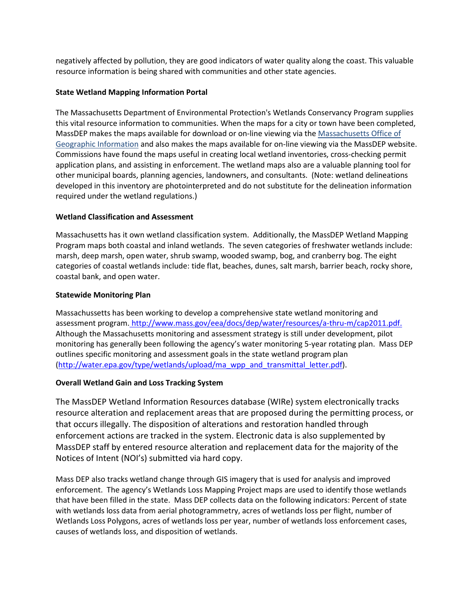negatively affected by pollution, they are good indicators of water quality along the coast. This valuable resource information is being shared with communities and other state agencies.

## **State Wetland Mapping Information Portal**

The Massachusetts Department of Environmental Protection's Wetlands Conservancy Program supplies this vital resource information to communities. When the maps for a city or town have been completed, MassDEP makes the maps available for download or on-line viewing via the Massachusetts Office of Geographic Information and also makes the maps available for on-line viewing via the MassDEP website. Commissions have found the maps useful in creating local wetland inventories, cross-checking permit application plans, and assisting in enforcement. The wetland maps also are a valuable planning tool for other municipal boards, planning agencies, landowners, and consultants. (Note: wetland delineations developed in this inventory are photointerpreted and do not substitute for the delineation information required under the wetland regulations.)

# **Wetland Classification and Assessment**

Massachusetts has it own wetland classification system. Additionally, the MassDEP Wetland Mapping Program maps both coastal and inland wetlands. The seven categories of freshwater wetlands include: marsh, deep marsh, open water, shrub swamp, wooded swamp, bog, and cranberry bog. The eight categories of coastal wetlands include: tide flat, beaches, dunes, salt marsh, barrier beach, rocky shore, coastal bank, and open water.

# **Statewide Monitoring Plan**

Massachussetts has been working to develop a comprehensive state wetland monitoring and assessment program. [http://www.mass.gov/eea/docs/dep/water/resources/a-thru-m/cap2011.pdf.](http://www.mass.gov/eea/docs/dep/water/resources/a-thru-m/cap2011.pdf) Although the Massachusetts monitoring and assessment strategy is still under development, pilot monitoring has generally been following the agency's water monitoring 5-year rotating plan. Mass DEP outlines specific monitoring and assessment goals in the state wetland program plan [\(http://water.epa.gov/type/wetlands/upload/ma\\_wpp\\_and\\_transmittal\\_letter.pdf\)](http://water.epa.gov/type/wetlands/upload/ma_wpp_and_transmittal_letter.pdf).

# **Overall Wetland Gain and Loss Tracking System**

The MassDEP Wetland Information Resources database (WIRe) system electronically tracks resource alteration and replacement areas that are proposed during the permitting process, or that occurs illegally. The disposition of alterations and restoration handled through enforcement actions are tracked in the system. Electronic data is also supplemented by MassDEP staff by entered resource alteration and replacement data for the majority of the Notices of Intent (NOI's) submitted via hard copy.

Mass DEP also tracks wetland change through GIS imagery that is used for analysis and improved enforcement. The agency's Wetlands Loss Mapping Project maps are used to identify those wetlands that have been filled in the state. Mass DEP collects data on the following indicators: Percent of state with wetlands loss data from aerial photogrammetry, acres of wetlands loss per flight, number of Wetlands Loss Polygons, acres of wetlands loss per year, number of wetlands loss enforcement cases, causes of wetlands loss, and disposition of wetlands.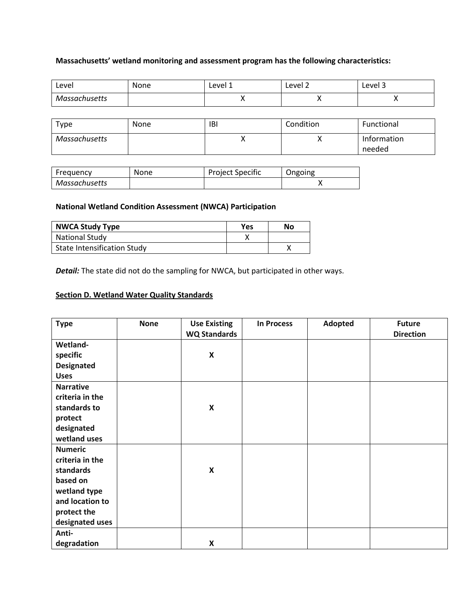# **Massachusetts' wetland monitoring and assessment program has the following characteristics:**

| Level         | None | Level 1 | Level 2 | Level 3 |
|---------------|------|---------|---------|---------|
| Massachusetts |      | . .     | ,,      |         |

| Type          | None | IBI | Condition    | Functional  |
|---------------|------|-----|--------------|-------------|
| Massachusetts |      | ,,  | $\mathbf{v}$ | Information |
|               |      |     |              | needed      |

| Frequency     | None | <b>Project Specific</b> | Ongoing |
|---------------|------|-------------------------|---------|
| Massachusetts |      |                         |         |

### **National Wetland Condition Assessment (NWCA) Participation**

| <b>NWCA Study Type</b>      | <b>Yes</b> | No |
|-----------------------------|------------|----|
| <b>National Study</b>       |            |    |
| State Intensification Study |            |    |

**Detail:** The state did not do the sampling for NWCA, but participated in other ways.

# <span id="page-10-0"></span>**Section D. Wetland Water Quality Standards**

| <b>Type</b>       | <b>None</b> | <b>Use Existing</b><br><b>WQ Standards</b> | <b>In Process</b> | Adopted | <b>Future</b><br><b>Direction</b> |
|-------------------|-------------|--------------------------------------------|-------------------|---------|-----------------------------------|
| Wetland-          |             |                                            |                   |         |                                   |
| specific          |             | $\pmb{\mathsf{X}}$                         |                   |         |                                   |
| <b>Designated</b> |             |                                            |                   |         |                                   |
| <b>Uses</b>       |             |                                            |                   |         |                                   |
|                   |             |                                            |                   |         |                                   |
| <b>Narrative</b>  |             |                                            |                   |         |                                   |
| criteria in the   |             |                                            |                   |         |                                   |
| standards to      |             | $\pmb{\mathsf{X}}$                         |                   |         |                                   |
| protect           |             |                                            |                   |         |                                   |
| designated        |             |                                            |                   |         |                                   |
| wetland uses      |             |                                            |                   |         |                                   |
| <b>Numeric</b>    |             |                                            |                   |         |                                   |
| criteria in the   |             |                                            |                   |         |                                   |
| standards         |             | $\pmb{\times}$                             |                   |         |                                   |
| based on          |             |                                            |                   |         |                                   |
| wetland type      |             |                                            |                   |         |                                   |
| and location to   |             |                                            |                   |         |                                   |
|                   |             |                                            |                   |         |                                   |
| protect the       |             |                                            |                   |         |                                   |
| designated uses   |             |                                            |                   |         |                                   |
| Anti-             |             |                                            |                   |         |                                   |
| degradation       |             | $\pmb{\mathsf{X}}$                         |                   |         |                                   |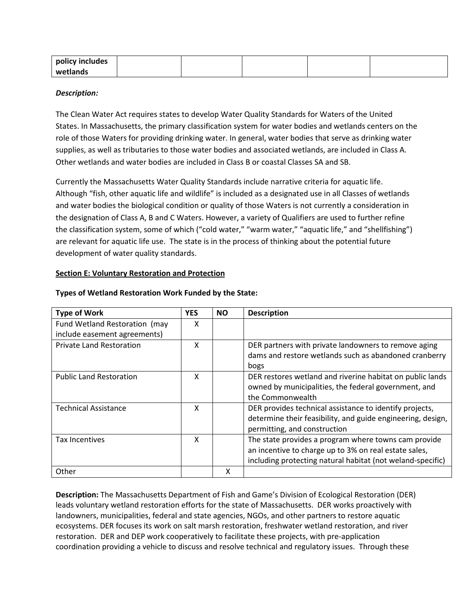| policy includes |  |  |  |
|-----------------|--|--|--|
| wetlands        |  |  |  |

### *Description:*

The Clean Water Act requires states to develop Water Quality Standards for Waters of the United States. In Massachusetts, the primary classification system for water bodies and wetlands centers on the role of those Waters for providing drinking water. In general, water bodies that serve as drinking water supplies, as well as tributaries to those water bodies and associated wetlands, are included in Class A. Other wetlands and water bodies are included in Class B or coastal Classes SA and SB.

Currently the Massachusetts Water Quality Standards include narrative criteria for aquatic life. Although "fish, other aquatic life and wildlife" is included as a designated use in all Classes of wetlands and water bodies the biological condition or quality of those Waters is not currently a consideration in the designation of Class A, B and C Waters. However, a variety of Qualifiers are used to further refine the classification system, some of which ("cold water," "warm water," "aquatic life," and "shellfishing") are relevant for aquatic life use. The state is in the process of thinking about the potential future development of water quality standards.

### <span id="page-11-0"></span>**Section E: Voluntary Restoration and Protection**

| <b>Type of Work</b>             | <b>YES</b> | <b>NO</b> | <b>Description</b>                                                                                                                                                          |
|---------------------------------|------------|-----------|-----------------------------------------------------------------------------------------------------------------------------------------------------------------------------|
| Fund Wetland Restoration (may   | x          |           |                                                                                                                                                                             |
| include easement agreements)    |            |           |                                                                                                                                                                             |
| <b>Private Land Restoration</b> | x          |           | DER partners with private landowners to remove aging<br>dams and restore wetlands such as abandoned cranberry<br>bogs                                                       |
| <b>Public Land Restoration</b>  | x          |           | DER restores wetland and riverine habitat on public lands<br>owned by municipalities, the federal government, and<br>the Commonwealth                                       |
| <b>Technical Assistance</b>     | x          |           | DER provides technical assistance to identify projects,<br>determine their feasibility, and guide engineering, design,<br>permitting, and construction                      |
| <b>Tax Incentives</b>           | X          |           | The state provides a program where towns cam provide<br>an incentive to charge up to 3% on real estate sales,<br>including protecting natural habitat (not weland-specific) |
| Other                           |            | x         |                                                                                                                                                                             |

### **Types of Wetland Restoration Work Funded by the State:**

**Description:** The Massachusetts Department of Fish and Game's Division of Ecological Restoration (DER) leads voluntary wetland restoration efforts for the state of Massachusetts. DER works proactively with landowners, municipalities, federal and state agencies, NGOs, and other partners to restore aquatic ecosystems. DER focuses its work on salt marsh restoration, freshwater wetland restoration, and river restoration. DER and DEP work cooperatively to facilitate these projects, with pre-application coordination providing a vehicle to discuss and resolve technical and regulatory issues. Through these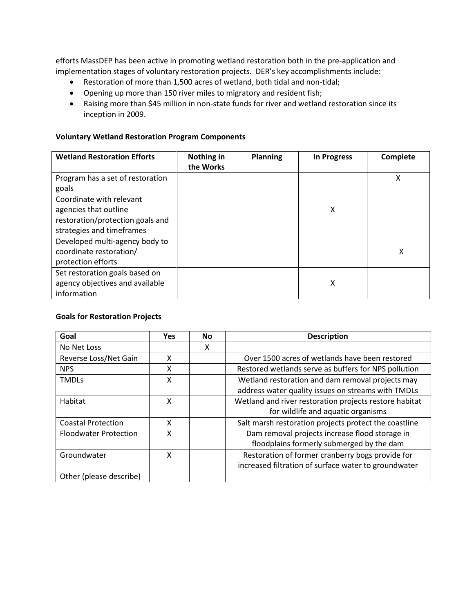efforts MassDEP has been active in promoting wetland restoration both in the pre-application and implementation stages of voluntary restoration projects. DER's key accomplishments include:

- Restoration of more than 1,500 acres of wetland, both tidal and non-tidal;
- Opening up more than 150 river miles to migratory and resident fish;
- Raising more than \$45 million in non-state funds for river and wetland restoration since its inception in 2009.

#### **Voluntary Wetland Restoration Program Components**

| <b>Wetland Restoration Efforts</b> | Nothing in<br>the Works | <b>Planning</b> | <b>In Progress</b> | Complete |
|------------------------------------|-------------------------|-----------------|--------------------|----------|
| Program has a set of restoration   |                         |                 |                    | χ        |
| goals                              |                         |                 |                    |          |
| Coordinate with relevant           |                         |                 |                    |          |
| agencies that outline              |                         |                 | X                  |          |
| restoration/protection goals and   |                         |                 |                    |          |
| strategies and timeframes          |                         |                 |                    |          |
| Developed multi-agency body to     |                         |                 |                    |          |
| coordinate restoration/            |                         |                 |                    | X        |
| protection efforts                 |                         |                 |                    |          |
| Set restoration goals based on     |                         |                 |                    |          |
| agency objectives and available    |                         |                 | Χ                  |          |
| information                        |                         |                 |                    |          |

### **Goals for Restoration Projects**

| Goal                         | <b>Yes</b> | <b>No</b> | <b>Description</b>                                     |
|------------------------------|------------|-----------|--------------------------------------------------------|
| No Net Loss                  |            | X         |                                                        |
| Reverse Loss/Net Gain        | X          |           | Over 1500 acres of wetlands have been restored         |
| <b>NPS</b>                   | X          |           | Restored wetlands serve as buffers for NPS pollution   |
| <b>TMDLs</b>                 | X          |           | Wetland restoration and dam removal projects may       |
|                              |            |           | address water quality issues on streams with TMDLs     |
| Habitat                      | X          |           | Wetland and river restoration projects restore habitat |
|                              |            |           | for wildlife and aquatic organisms                     |
| <b>Coastal Protection</b>    | X          |           | Salt marsh restoration projects protect the coastline  |
| <b>Floodwater Protection</b> | X          |           | Dam removal projects increase flood storage in         |
|                              |            |           | floodplains formerly submerged by the dam              |
| Groundwater                  | X          |           | Restoration of former cranberry bogs provide for       |
|                              |            |           | increased filtration of surface water to groundwater   |
| Other (please describe)      |            |           |                                                        |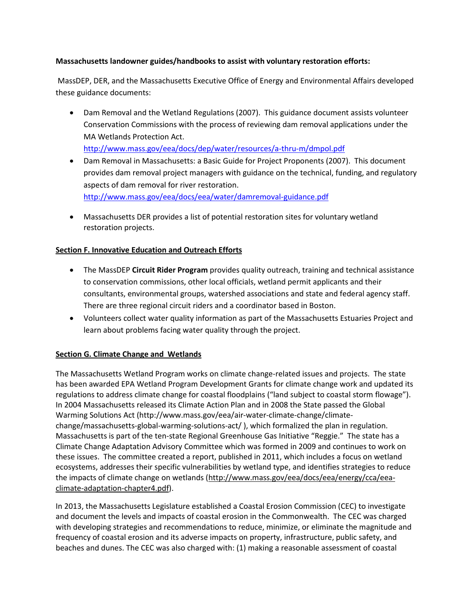# **Massachusetts landowner guides/handbooks to assist with voluntary restoration efforts:**

MassDEP, DER, and the Massachusetts Executive Office of Energy and Environmental Affairs developed these guidance documents:

• Dam Removal and the Wetland Regulations (2007). This guidance document assists volunteer Conservation Commissions with the process of reviewing dam removal applications under the MA Wetlands Protection Act.

<http://www.mass.gov/eea/docs/dep/water/resources/a-thru-m/dmpol.pdf>

- Dam Removal in Massachusetts: a Basic Guide for Project Proponents (2007). This document provides dam removal project managers with guidance on the technical, funding, and regulatory aspects of dam removal for river restoration. <http://www.mass.gov/eea/docs/eea/water/damremoval-guidance.pdf>
- Massachusetts DER provides a list of potential restoration sites for voluntary wetland restoration projects.

# <span id="page-13-0"></span>**Section F. Innovative Education and Outreach Efforts**

- The MassDEP **Circuit Rider Program** provides quality outreach, training and technical assistance to conservation commissions, other local officials, wetland permit applicants and their consultants, environmental groups, watershed associations and state and federal agency staff. There are three regional circuit riders and a coordinator based in Boston.
- Volunteers collect water quality information as part of the Massachusetts Estuaries Project and learn about problems facing water quality through the project.

### **Section G. Climate Change and Wetlands**

The Massachusetts Wetland Program works on climate change-related issues and projects. The state has been awarded EPA Wetland Program Development Grants for climate change work and updated its regulations to address climate change for coastal floodplains ("land subject to coastal storm flowage"). In 2004 Massachusetts released its Climate Action Plan and in 2008 the State passed the Global Warming Solutions Act (http://www.mass.gov/eea/air-water-climate-change/climatechange/massachusetts-global-warming-solutions-act/ ), which formalized the plan in regulation. Massachusetts is part of the ten-state Regional Greenhouse Gas Initiative "Reggie." The state has a Climate Change Adaptation Advisory Committee which was formed in 2009 and continues to work on these issues. The committee created a report, published in 2011, which includes a focus on wetland ecosystems, addresses their specific vulnerabilities by wetland type, and identifies strategies to reduce the impacts of climate change on wetlands [\(http://www.mass.gov/eea/docs/eea/energy/cca/eea](http://www.mass.gov/eea/docs/eea/energy/cca/eea-climate-adaptation-chapter4.pdf)[climate-adaptation-chapter4.pdf\)](http://www.mass.gov/eea/docs/eea/energy/cca/eea-climate-adaptation-chapter4.pdf).

In 2013, the Massachusetts Legislature established a Coastal Erosion Commission (CEC) to investigate and document the levels and impacts of coastal erosion in the Commonwealth. The CEC was charged with developing strategies and recommendations to reduce, minimize, or eliminate the magnitude and frequency of coastal erosion and its adverse impacts on property, infrastructure, public safety, and beaches and dunes. The CEC was also charged with: (1) making a reasonable assessment of coastal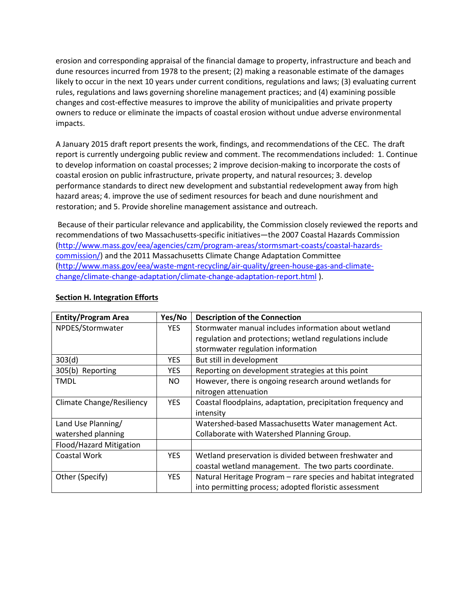erosion and corresponding appraisal of the financial damage to property, infrastructure and beach and dune resources incurred from 1978 to the present; (2) making a reasonable estimate of the damages likely to occur in the next 10 years under current conditions, regulations and laws; (3) evaluating current rules, regulations and laws governing shoreline management practices; and (4) examining possible changes and cost-effective measures to improve the ability of municipalities and private property owners to reduce or eliminate the impacts of coastal erosion without undue adverse environmental impacts.

A January 2015 draft report presents the work, findings, and recommendations of the CEC. The draft report is currently undergoing public review and comment. The recommendations included: 1. Continue to develop information on coastal processes; 2 improve decision-making to incorporate the costs of coastal erosion on public infrastructure, private property, and natural resources; 3. develop performance standards to direct new development and substantial redevelopment away from high hazard areas; 4. improve the use of sediment resources for beach and dune nourishment and restoration; and 5. Provide shoreline management assistance and outreach.

Because of their particular relevance and applicability, the Commission closely reviewed the reports and recommendations of two Massachusetts-specific initiatives—the 2007 Coastal Hazards Commission [\(http://www.mass.gov/eea/agencies/czm/program-areas/stormsmart-coasts/coastal-hazards](http://www.mass.gov/eea/agencies/czm/program-areas/stormsmart-coasts/coastal-hazards-commission/)[commission/\)](http://www.mass.gov/eea/agencies/czm/program-areas/stormsmart-coasts/coastal-hazards-commission/) and the 2011 Massachusetts Climate Change Adaptation Committee [\(http://www.mass.gov/eea/waste-mgnt-recycling/air-quality/green-house-gas-and-climate](http://www.mass.gov/eea/waste-mgnt-recycling/air-quality/green-house-gas-and-climate-change/climate-change-adaptation/climate-change-adaptation-report.html)[change/climate-change-adaptation/climate-change-adaptation-report.html](http://www.mass.gov/eea/waste-mgnt-recycling/air-quality/green-house-gas-and-climate-change/climate-change-adaptation/climate-change-adaptation-report.html) ).

| <b>Entity/Program Area</b>       | Yes/No     | <b>Description of the Connection</b>                           |
|----------------------------------|------------|----------------------------------------------------------------|
| NPDES/Stormwater                 | <b>YES</b> | Stormwater manual includes information about wetland           |
|                                  |            | regulation and protections; wetland regulations include        |
|                                  |            | stormwater regulation information                              |
| 303(d)                           | <b>YES</b> | But still in development                                       |
| 305(b) Reporting                 | YES.       | Reporting on development strategies at this point              |
| <b>TMDL</b>                      | NO.        | However, there is ongoing research around wetlands for         |
|                                  |            | nitrogen attenuation                                           |
| <b>Climate Change/Resiliency</b> | <b>YES</b> | Coastal floodplains, adaptation, precipitation frequency and   |
|                                  |            | intensity                                                      |
| Land Use Planning/               |            | Watershed-based Massachusetts Water management Act.            |
| watershed planning               |            | Collaborate with Watershed Planning Group.                     |
| Flood/Hazard Mitigation          |            |                                                                |
| Coastal Work                     | YES.       | Wetland preservation is divided between freshwater and         |
|                                  |            | coastal wetland management. The two parts coordinate.          |
| Other (Specify)                  | <b>YES</b> | Natural Heritage Program - rare species and habitat integrated |
|                                  |            | into permitting process; adopted floristic assessment          |

# <span id="page-14-0"></span>**Section H. Integration Efforts**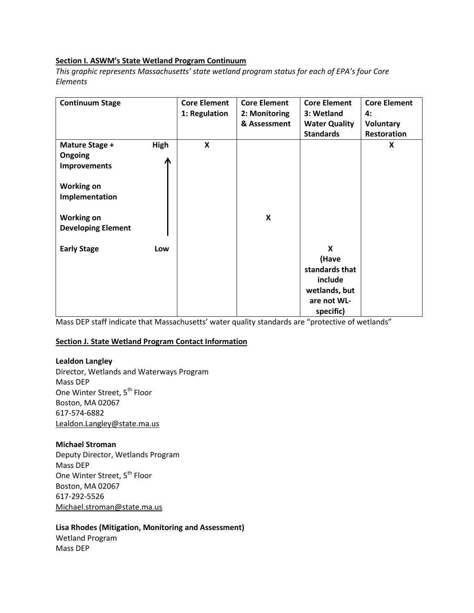#### **Section I. ASWM's State Wetland Program Continuum**

*This graphic represents Massachusetts' state wetland program status for each of EPA's four Core Elements*

| <b>Continuum Stage</b>                                                                                                                    |           | <b>Core Element</b><br>1: Regulation | <b>Core Element</b><br>2: Monitoring<br>& Assessment | <b>Core Element</b><br>3: Wetland<br><b>Water Quality</b><br><b>Standards</b>        | <b>Core Element</b><br>4:<br>Voluntary<br>Restoration |
|-------------------------------------------------------------------------------------------------------------------------------------------|-----------|--------------------------------------|------------------------------------------------------|--------------------------------------------------------------------------------------|-------------------------------------------------------|
| Mature Stage +<br><b>Ongoing</b><br>Improvements<br><b>Working on</b><br>Implementation<br><b>Working on</b><br><b>Developing Element</b> | High<br>Л | X                                    | X                                                    |                                                                                      | X                                                     |
| <b>Early Stage</b>                                                                                                                        | Low       |                                      |                                                      | X<br>(Have<br>standards that<br>include<br>wetlands, but<br>are not WL-<br>specific) |                                                       |

Mass DEP staff indicate that Massachusetts' water quality standards are "protective of wetlands"

#### **Section J. State Wetland Program Contact Information**

#### **Lealdon Langley**

Director, Wetlands and Waterways Program Mass DEP One Winter Street, 5<sup>th</sup> Floor Boston, MA 02067 617-574-6882 [Lealdon.Langley@state.ma.us](mailto:Lealdon.Langley@state.ma.us)

#### **Michael Stroman**

Deputy Director, Wetlands Program Mass DEP One Winter Street, 5<sup>th</sup> Floor Boston, MA 02067 617-292-5526 [Michael.stroman@state.ma.us](mailto:Michael.stroman@state.ma.us)

# **Lisa Rhodes (Mitigation, Monitoring and Assessment)** Wetland Program

Mass DEP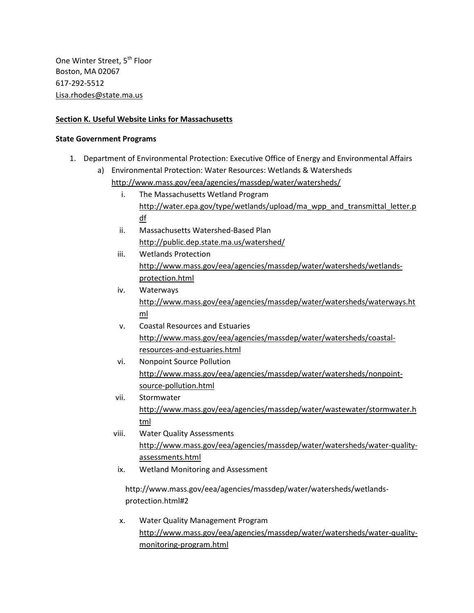One Winter Street, 5<sup>th</sup> Floor Boston, MA 02067 617-292-5512 [Lisa.rhodes@state.ma.us](mailto:Lisa.rhodes@state.ma.us)

# **Section K. Useful Website Links for Massachusetts**

### **State Government Programs**

- 1. Department of Environmental Protection: Executive Office of Energy and Environmental Affairs
	- a) Environmental Protection: Water Resources: Wetlands & Watersheds <http://www.mass.gov/eea/agencies/massdep/water/watersheds/>
		- i. The Massachusetts Wetland Program [http://water.epa.gov/type/wetlands/upload/ma\\_wpp\\_and\\_transmittal\\_letter.p](http://water.epa.gov/type/wetlands/upload/ma_wpp_and_transmittal_letter.pdf) [df](http://water.epa.gov/type/wetlands/upload/ma_wpp_and_transmittal_letter.pdf)
		- ii. Massachusetts Watershed-Based Plan <http://public.dep.state.ma.us/watershed/>
		- iii. Wetlands Protection [http://www.mass.gov/eea/agencies/massdep/water/watersheds/wetlands](http://www.mass.gov/eea/agencies/massdep/water/watersheds/wetlands-protection.html)[protection.html](http://www.mass.gov/eea/agencies/massdep/water/watersheds/wetlands-protection.html)
		- iv. Waterways [http://www.mass.gov/eea/agencies/massdep/water/watersheds/waterways.ht](http://www.mass.gov/eea/agencies/massdep/water/watersheds/waterways.html) [ml](http://www.mass.gov/eea/agencies/massdep/water/watersheds/waterways.html)
		- v. Coastal Resources and Estuaries [http://www.mass.gov/eea/agencies/massdep/water/watersheds/coastal](http://www.mass.gov/eea/agencies/massdep/water/watersheds/coastal-resources-and-estuaries.html)[resources-and-estuaries.html](http://www.mass.gov/eea/agencies/massdep/water/watersheds/coastal-resources-and-estuaries.html)
		- vi. Nonpoint Source Pollution [http://www.mass.gov/eea/agencies/massdep/water/watersheds/nonpoint](http://www.mass.gov/eea/agencies/massdep/water/watersheds/nonpoint-source-pollution.html)[source-pollution.html](http://www.mass.gov/eea/agencies/massdep/water/watersheds/nonpoint-source-pollution.html)
		- vii. Stormwater [http://www.mass.gov/eea/agencies/massdep/water/wastewater/stormwater.h](http://www.mass.gov/eea/agencies/massdep/water/wastewater/stormwater.html) [tml](http://www.mass.gov/eea/agencies/massdep/water/wastewater/stormwater.html)
		- viii. Water Quality Assessments [http://www.mass.gov/eea/agencies/massdep/water/watersheds/water-quality](http://www.mass.gov/eea/agencies/massdep/water/watersheds/water-quality-assessments.html)[assessments.html](http://www.mass.gov/eea/agencies/massdep/water/watersheds/water-quality-assessments.html)
		- ix. Wetland Monitoring and Assessment

http://www.mass.gov/eea/agencies/massdep/water/watersheds/wetlandsprotection.html#2

x. Water Quality Management Program [http://www.mass.gov/eea/agencies/massdep/water/watersheds/water-quality](http://www.mass.gov/eea/agencies/massdep/water/watersheds/water-quality-monitoring-program.html)[monitoring-program.html](http://www.mass.gov/eea/agencies/massdep/water/watersheds/water-quality-monitoring-program.html)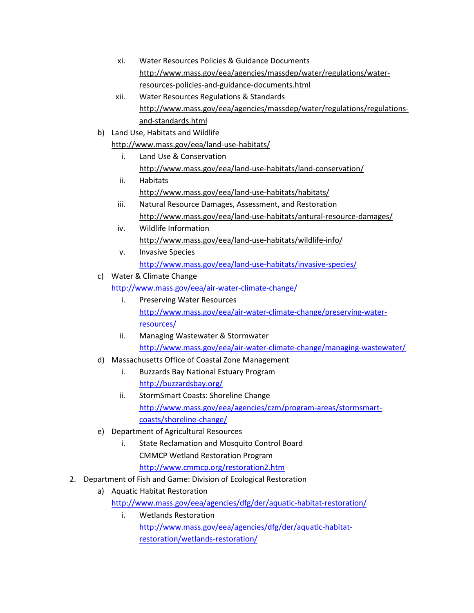- xi. Water Resources Policies & Guidance Documents [http://www.mass.gov/eea/agencies/massdep/water/regulations/water](http://www.mass.gov/eea/agencies/massdep/water/regulations/water-resources-policies-and-guidance-documents.html)[resources-policies-and-guidance-documents.html](http://www.mass.gov/eea/agencies/massdep/water/regulations/water-resources-policies-and-guidance-documents.html)
- xii. Water Resources Regulations & Standards [http://www.mass.gov/eea/agencies/massdep/water/regulations/regulations](http://www.mass.gov/eea/agencies/massdep/water/regulations/regulations-and-standards.html)[and-standards.html](http://www.mass.gov/eea/agencies/massdep/water/regulations/regulations-and-standards.html)
- b) Land Use, Habitats and Wildlife

<http://www.mass.gov/eea/land-use-habitats/>

- i. Land Use & Conservation <http://www.mass.gov/eea/land-use-habitats/land-conservation/>
- ii. Habitats <http://www.mass.gov/eea/land-use-habitats/habitats/>
- iii. Natural Resource Damages, Assessment, and Restoration <http://www.mass.gov/eea/land-use-habitats/antural-resource-damages/>
- iv. Wildlife Information <http://www.mass.gov/eea/land-use-habitats/wildlife-info/>
- v. Invasive Species <http://www.mass.gov/eea/land-use-habitats/invasive-species/>
- c) Water & Climate Change
	- <http://www.mass.gov/eea/air-water-climate-change/>
		- i. Preserving Water Resources [http://www.mass.gov/eea/air-water-climate-change/preserving-water](http://www.mass.gov/eea/air-water-climate-change/preserving-water-resources/)[resources/](http://www.mass.gov/eea/air-water-climate-change/preserving-water-resources/)
		- ii. Managing Wastewater & Stormwater <http://www.mass.gov/eea/air-water-climate-change/managing-wastewater/>
- d) Massachusetts Office of Coastal Zone Management
	- i. Buzzards Bay National Estuary Program <http://buzzardsbay.org/>
	- ii. StormSmart Coasts: Shoreline Change [http://www.mass.gov/eea/agencies/czm/program-areas/stormsmart](http://www.mass.gov/eea/agencies/czm/program-areas/stormsmart-coasts/shoreline-change/)[coasts/shoreline-change/](http://www.mass.gov/eea/agencies/czm/program-areas/stormsmart-coasts/shoreline-change/)
- e) Department of Agricultural Resources
	- i. State Reclamation and Mosquito Control Board CMMCP Wetland Restoration Program
- <http://www.cmmcp.org/restoration2.htm> 2. Department of Fish and Game: Division of Ecological Restoration
	- a) Aquatic Habitat Restoration <http://www.mass.gov/eea/agencies/dfg/der/aquatic-habitat-restoration/>
		- i. Wetlands Restoration [http://www.mass.gov/eea/agencies/dfg/der/aquatic-habitat](http://www.mass.gov/eea/agencies/dfg/der/aquatic-habitat-restoration/wetlands-restoration/)[restoration/wetlands-restoration/](http://www.mass.gov/eea/agencies/dfg/der/aquatic-habitat-restoration/wetlands-restoration/)